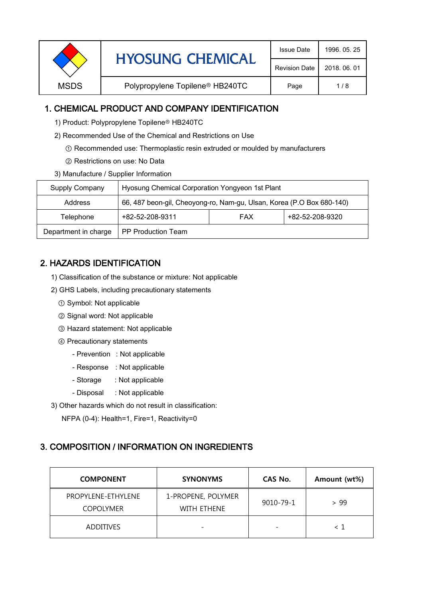| <b>Revision Date</b><br>2018, 06, 01<br>Polypropylene Topilene <sup>®</sup> HB240TC<br><b>MSDS</b><br>1/8<br>Page |  | <b>HYOSUNG CHEMICAL</b> | <b>Issue Date</b> | 1996, 05, 25 |
|-------------------------------------------------------------------------------------------------------------------|--|-------------------------|-------------------|--------------|
|                                                                                                                   |  |                         |                   |              |
|                                                                                                                   |  |                         |                   |              |

## 1. CHEMICAL PRODUCT AND COMPANY IDENTIFICATION

- 1) Product: Polypropylene Topilene<sup>®</sup> HB240TC
- 2) Recommended Use of the Chemical and Restrictions on Use
	- ① Recommended use: Thermoplastic resin extruded or moulded by manufacturers
	- ② Restrictions on use: No Data
- 3) Manufacture / Supplier Information

| Supply Company       | Hyosung Chemical Corporation Yongyeon 1st Plant                       |            |                 |  |
|----------------------|-----------------------------------------------------------------------|------------|-----------------|--|
| <b>Address</b>       | 66, 487 beon-gil, Cheoyong-ro, Nam-gu, Ulsan, Korea (P.O Box 680-140) |            |                 |  |
| Telephone            | +82-52-208-9311                                                       | <b>FAX</b> | +82-52-208-9320 |  |
| Department in charge | PP Production Team                                                    |            |                 |  |

# 2. HAZARDS IDENTIFICATION

- 1) Classification of the substance or mixture: Not applicable
- 2) GHS Labels, including precautionary statements
	- ① Symbol: Not applicable
	- ② Signal word: Not applicable
	- ③ Hazard statement: Not applicable
	- ④ Precautionary statements
		- Prevention : Not applicable
		- Response : Not applicable
		- Storage : Not applicable
		- Disposal : Not applicable
- 3) Other hazards which do not result in classification:

NFPA (0-4): Health=1, Fire=1, Reactivity=0

### 3. COMPOSITION / INFORMATION ON INGREDIENTS

| <b>COMPONENT</b>                       | <b>SYNONYMS</b>                   | CAS No.   | Amount (wt%) |
|----------------------------------------|-----------------------------------|-----------|--------------|
| PROPYLENE-ETHYLENE<br><b>COPOLYMER</b> | 1-PROPENE, POLYMER<br>WITH ETHENE | 9010-79-1 | > 99         |
| <b>ADDITIVES</b>                       |                                   |           | ィ 1          |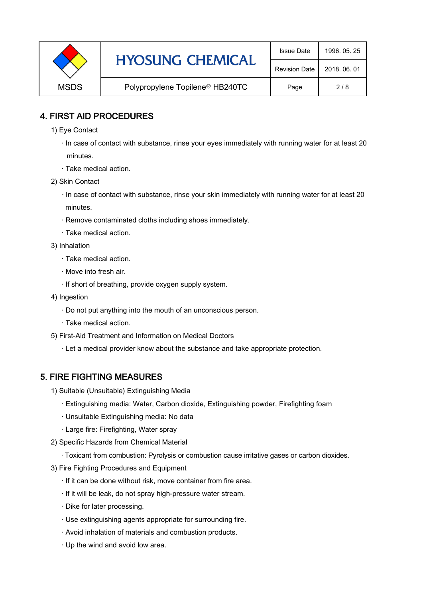|             | <b>HYOSUNG CHEMICAL</b>                     | <b>Issue Date</b>    | 1996, 05, 25 |
|-------------|---------------------------------------------|----------------------|--------------|
|             |                                             | <b>Revision Date</b> | 2018, 06, 01 |
| <b>MSDS</b> | Polypropylene Topilene <sup>®</sup> HB240TC | Page                 | 2/8          |

### 4. FIRST AID PROCEDURES

- 1) Eye Contact
	- · In case of contact with substance, rinse your eyes immediately with running water for at least 20 minutes.
	- · Take medical action.
- 2) Skin Contact
	- · In case of contact with substance, rinse your skin immediately with running water for at least 20 minutes.
	- · Remove contaminated cloths including shoes immediately.
	- · Take medical action.
- 3) Inhalation
	- · Take medical action.
	- · Move into fresh air.
	- · If short of breathing, provide oxygen supply system.
- 4) Ingestion
	- · Do not put anything into the mouth of an unconscious person.
	- · Take medical action.
- 5) First-Aid Treatment and Information on Medical Doctors
	- · Let a medical provider know about the substance and take appropriate protection.

## 5. FIRE FIGHTING MEASURES

- 1) Suitable (Unsuitable) Extinguishing Media
	- · Extinguishing media: Water, Carbon dioxide, Extinguishing powder, Firefighting foam
	- · Unsuitable Extinguishing media: No data
	- · Large fire: Firefighting, Water spray
- 2) Specific Hazards from Chemical Material
	- · Toxicant from combustion: Pyrolysis or combustion cause irritative gases or carbon dioxides.
- 3) Fire Fighting Procedures and Equipment
	- · If it can be done without risk, move container from fire area.
	- · If it will be leak, do not spray high-pressure water stream.
	- · Dike for later processing.
	- · Use extinguishing agents appropriate for surrounding fire.
	- · Avoid inhalation of materials and combustion products.
	- · Up the wind and avoid low area.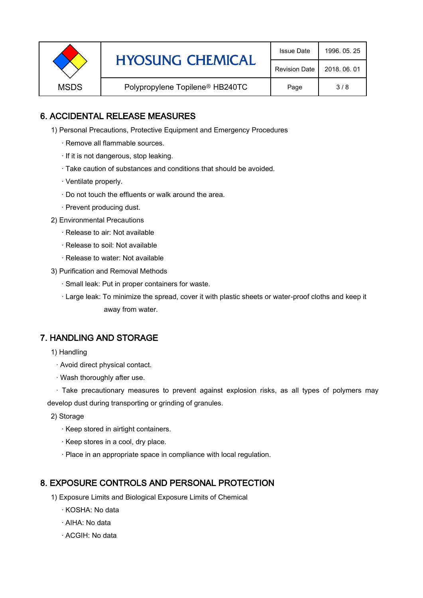|             | <b>HYOSUNG CHEMICAL</b>                     | <b>Issue Date</b>    | 1996, 05, 25 |
|-------------|---------------------------------------------|----------------------|--------------|
|             |                                             | <b>Revision Date</b> | 2018, 06, 01 |
| <b>MSDS</b> | Polypropylene Topilene <sup>®</sup> HB240TC | Page                 | 3/8          |

## 6. ACCIDENTAL RELEASE MEASURES

- 1) Personal Precautions, Protective Equipment and Emergency Procedures
	- · Remove all flammable sources.
	- · If it is not dangerous, stop leaking.
	- · Take caution of substances and conditions that should be avoided.
	- · Ventilate properly.
	- · Do not touch the effluents or walk around the area.
	- · Prevent producing dust.
- 2) Environmental Precautions
	- · Release to air: Not available
	- · Release to soil: Not available
	- · Release to water: Not available
- 3) Purification and Removal Methods
	- · Small leak: Put in proper containers for waste.
	- ,· Large leak: To minimize the spread, cover it with plastic sheets or water-proof cloths and keep it away from water.

### 7. HANDLING AND STORAGE

- 1) Handling
	- · Avoid direct physical contact.
	- · Wash thoroughly after use.

· Take precautionary measures to prevent against explosion risks, as all types of polymers may develop dust during transporting or grinding of granules.

- 2) Storage
	- · Keep stored in airtight containers.
	- · Keep stores in a cool, dry place.
	- · Place in an appropriate space in compliance with local regulation.

### 8. EXPOSURE CONTROLS AND PERSONAL PROTECTION

- 1) Exposure Limits and Biological Exposure Limits of Chemical
	- · KOSHA: No data
	- · AIHA: No data
	- · ACGIH: No data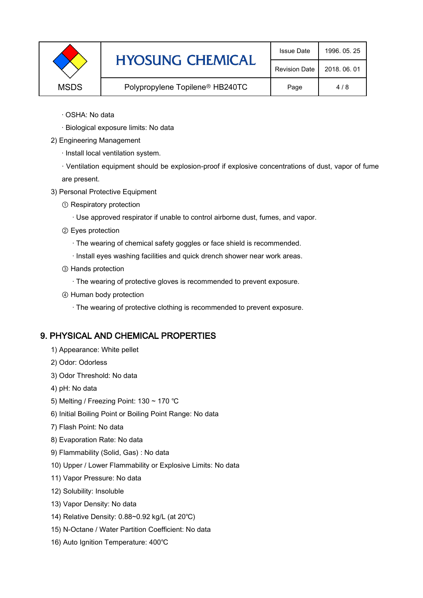|             | <b>HYOSUNG CHEMICAL</b>                     | <b>Issue Date</b>    | 1996, 05, 25 |
|-------------|---------------------------------------------|----------------------|--------------|
|             |                                             | <b>Revision Date</b> | 2018, 06, 01 |
| <b>MSDS</b> | Polypropylene Topilene <sup>®</sup> HB240TC | Page                 | 4/8          |

- · OSHA: No data
- · Biological exposure limits: No data
- 2) Engineering Management
	- · Install local ventilation system.

· Ventilation equipment should be explosion-proof if explosive concentrations of dust, vapor of fume are present.

- 3) Personal Protective Equipment
	- ① Respiratory protection
		- · Use approved respirator if unable to control airborne dust, fumes, and vapor.
	- ② Eyes protection
		- · The wearing of chemical safety goggles or face shield is recommended.
		- · Install eyes washing facilities and quick drench shower near work areas.
	- ③ Hands protection
		- · The wearing of protective gloves is recommended to prevent exposure.
	- ④ Human body protection
		- · The wearing of protective clothing is recommended to prevent exposure.

## 9. PHYSICAL AND CHEMICAL PROPERTIES

- 1) Appearance: White pellet
- 2) Odor: Odorless
- 3) Odor Threshold: No data
- 4) pH: No data
- 5) Melting / Freezing Point: 130 ~ 170 ℃
- 6) Initial Boiling Point or Boiling Point Range: No data
- 7) Flash Point: No data
- 8) Evaporation Rate: No data
- 9) Flammability (Solid, Gas) : No data
- 10) Upper / Lower Flammability or Explosive Limits: No data
- 11) Vapor Pressure: No data
- 12) Solubility: Insoluble
- 13) Vapor Density: No data
- 14) Relative Density: 0.88~0.92 kg/L (at 20℃)
- 15) N-Octane / Water Partition Coefficient: No data
- 16) Auto Ignition Temperature: 400℃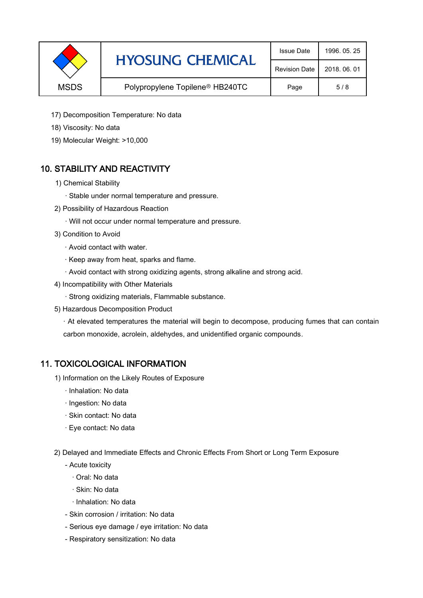|             | <b>HYOSUNG CHEMICAL</b>                     | <b>Issue Date</b>    | 1996, 05, 25 |
|-------------|---------------------------------------------|----------------------|--------------|
|             |                                             | <b>Revision Date</b> | 2018, 06, 01 |
| <b>MSDS</b> | Polypropylene Topilene <sup>®</sup> HB240TC | Page                 | 5/8          |

- 17) Decomposition Temperature: No data
- 18) Viscosity: No data
- 19) Molecular Weight: >10,000

# 10. STABILITY AND REACTIVITY

- 1) Chemical Stability
	- · Stable under normal temperature and pressure.
- 2) Possibility of Hazardous Reaction
	- · Will not occur under normal temperature and pressure.
- 3) Condition to Avoid
	- · Avoid contact with water.
	- · Keep away from heat, sparks and flame.
	- · Avoid contact with strong oxidizing agents, strong alkaline and strong acid.
- 4) Incompatibility with Other Materials
	- · Strong oxidizing materials, Flammable substance.
- 5) Hazardous Decomposition Product

· At elevated temperatures the material will begin to decompose, producing fumes that can contain carbon monoxide, acrolein, aldehydes, and unidentified organic compounds.

### 11. TOXICOLOGICAL INFORMATION

- 1) Information on the Likely Routes of Exposure
	- · Inhalation: No data
	- · Ingestion: No data
	- · Skin contact: No data
	- · Eye contact: No data
- 2) Delayed and Immediate Effects and Chronic Effects From Short or Long Term Exposure
	- Acute toxicity
		- · Oral: No data
		- · Skin: No data
		- · Inhalation: No data
	- Skin corrosion / irritation: No data
	- Serious eye damage / eye irritation: No data
	- Respiratory sensitization: No data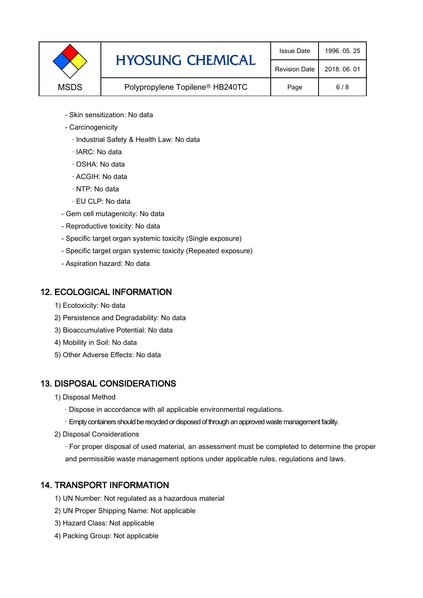|             | <b>HYOSUNG CHEMICAL</b>                     | <b>Issue Date</b>    | 1996, 05, 25 |
|-------------|---------------------------------------------|----------------------|--------------|
|             |                                             | <b>Revision Date</b> | 2018, 06, 01 |
| <b>MSDS</b> | Polypropylene Topilene <sup>®</sup> HB240TC | Page                 | 6/8          |

- Skin sensitization: No data
- Carcinogenicity
	- · Industrial Safety & Health Law: No data
	- · IARC: No data
	- · OSHA: No data
	- · ACGIH: No data
	- · NTP: No data
	- · EU CLP: No data
- Gem cell mutagenicity: No data
- Reproductive toxicity: No data
- Specific target organ systemic toxicity (Single exposure)
- Specific target organ systemic toxicity (Repeated exposure)
- Aspiration hazard: No data

### 12. ECOLOGICAL INFORMATION

- 1) Ecotoxicity: No data
- 2) Persistence and Degradability: No data
- 3) Bioaccumulative Potential: No data
- 4) Mobility in Soil: No data
- 5) Other Adverse Effects: No data

## 13. DISPOSAL CONSIDERATIONS

- 1) Disposal Method
	- · Dispose in accordance with all applicable environmental regulations.
	- · Empty containers should be recycled or disposed of through an approved waste management facility.
- 2) Disposal Considerations
	- · For proper disposal of used material, an assessment must be completed to determine the proper and permissible waste management options under applicable rules, regulations and laws.

## 14. TRANSPORT INFORMATION

- 1) UN Number: Not regulated as a hazardous material
- 2) UN Proper Shipping Name: Not applicable
- 3) Hazard Class: Not applicable
- 4) Packing Group: Not applicable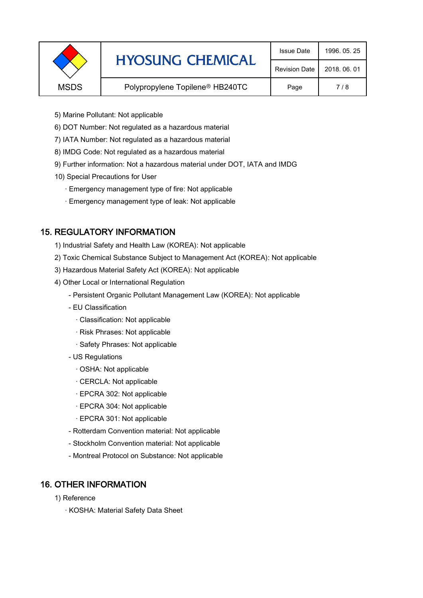|             | <b>HYOSUNG CHEMICAL</b>                     | <b>Issue Date</b>    | 1996, 05, 25 |
|-------------|---------------------------------------------|----------------------|--------------|
|             |                                             | <b>Revision Date</b> | 2018, 06, 01 |
| <b>MSDS</b> | Polypropylene Topilene <sup>®</sup> HB240TC | Page                 | 7/8          |
|             |                                             |                      |              |

- 5) Marine Pollutant: Not applicable
- 6) DOT Number: Not regulated as a hazardous material
- 7) IATA Number: Not regulated as a hazardous material
- 8) IMDG Code: Not regulated as a hazardous material
- 9) Further information: Not a hazardous material under DOT, IATA and IMDG
- 10) Special Precautions for User
	- · Emergency management type of fire: Not applicable
	- · Emergency management type of leak: Not applicable

### 15. REGULATORY INFORMATION

- 1) Industrial Safety and Health Law (KOREA): Not applicable
- 2) Toxic Chemical Substance Subject to Management Act (KOREA): Not applicable
- 3) Hazardous Material Safety Act (KOREA): Not applicable
- 4) Other Local or International Regulation
	- Persistent Organic Pollutant Management Law (KOREA): Not applicable
	- EU Classification
		- · Classification: Not applicable
		- · Risk Phrases: Not applicable
		- · Safety Phrases: Not applicable
	- US Regulations
		- · OSHA: Not applicable
		- · CERCLA: Not applicable
		- · EPCRA 302: Not applicable
		- · EPCRA 304: Not applicable
		- · EPCRA 301: Not applicable
	- Rotterdam Convention material: Not applicable
	- Stockholm Convention material: Not applicable
	- Montreal Protocol on Substance: Not applicable

### 16. OTHER INFORMATION

- 1) Reference
	- · KOSHA: Material Safety Data Sheet